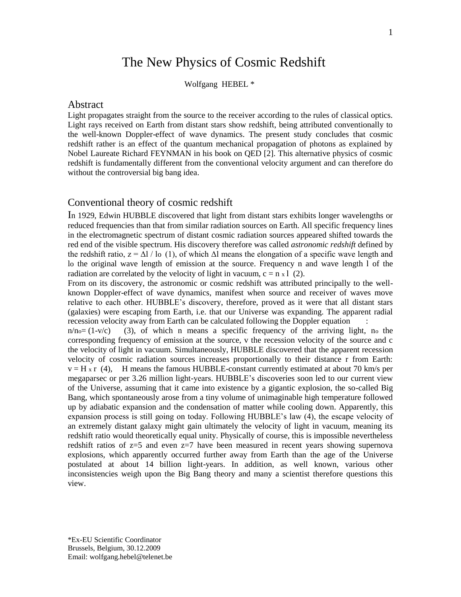# The New Physics of Cosmic Redshift

Wolfgang HEBEL \*

#### **Abstract**

Light propagates straight from the source to the receiver according to the rules of classical optics. Light rays received on Earth from distant stars show redshift, being attributed conventionally to the well-known Doppler-effect of wave dynamics. The present study concludes that cosmic redshift rather is an effect of the quantum mechanical propagation of photons as explained by Nobel Laureate Richard FEYNMAN in his book on QED [2]. This alternative physics of cosmic redshift is fundamentally different from the conventional velocity argument and can therefore do without the controversial big bang idea.

## Conventional theory of cosmic redshift

In 1929, Edwin HUBBLE discovered that light from distant stars exhibits longer wavelengths or reduced frequencies than that from similar radiation sources on Earth. All specific frequency lines in the electromagnetic spectrum of distant cosmic radiation sources appeared shifted towards the red end of the visible spectrum. His discovery therefore was called *astronomic redshift* defined by the redshift ratio,  $z = \Delta l / l_0$  (1), of which  $\Delta l$  means the elongation of a specific wave length and lo the original wave length of emission at the source. Frequency n and wave length 1 of the radiation are correlated by the velocity of light in vacuum,  $c = n \times 1$  (2).

From on its discovery, the astronomic or cosmic redshift was attributed principally to the wellknown Doppler-effect of wave dynamics, manifest when source and receiver of waves move relative to each other. HUBBLE"s discovery, therefore, proved as it were that all distant stars (galaxies) were escaping from Earth, i.e. that our Universe was expanding. The apparent radial recession velocity away from Earth can be calculated following the Doppler equation :

 $n/n = (1-v/c)$  (3), of which n means a specific frequency of the arriving light, no the corresponding frequency of emission at the source, v the recession velocity of the source and c the velocity of light in vacuum. Simultaneously, HUBBLE discovered that the apparent recession velocity of cosmic radiation sources increases proportionally to their distance r from Earth:  $v = H x r$  (4), H means the famous HUBBLE-constant currently estimated at about 70 km/s per megaparsec or per 3.26 million light-years. HUBBLE"s discoveries soon led to our current view of the Universe, assuming that it came into existence by a gigantic explosion, the so-called Big Bang, which spontaneously arose from a tiny volume of unimaginable high temperature followed up by adiabatic expansion and the condensation of matter while cooling down. Apparently, this expansion process is still going on today. Following HUBBLE"s law (4), the escape velocity of an extremely distant galaxy might gain ultimately the velocity of light in vacuum, meaning its redshift ratio would theoretically equal unity. Physically of course, this is impossible nevertheless redshift ratios of  $z=5$  and even  $z=7$  have been measured in recent years showing supernova explosions, which apparently occurred further away from Earth than the age of the Universe postulated at about 14 billion light-years. In addition, as well known, various other inconsistencies weigh upon the Big Bang theory and many a scientist therefore questions this view.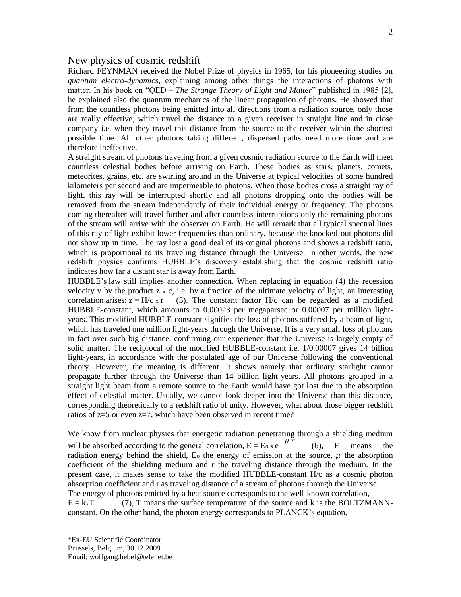## New physics of cosmic redshift

Richard FEYNMAN received the Nobel Prize of physics in 1965, for his pioneering studies on *quantum electro-dynamics*, explaining among other things the interactions of photons with matter. In his book on "QED – *The Strange Theory of Light and Matter*" published in 1985 [2], he explained also the quantum mechanics of the linear propagation of photons. He showed that from the countless photons being emitted into all directions from a radiation source, only those are really effective, which travel the distance to a given receiver in straight line and in close company i.e. when they travel this distance from the source to the receiver within the shortest possible time. All other photons taking different, dispersed paths need more time and are therefore ineffective.

A straight stream of photons traveling from a given cosmic radiation source to the Earth will meet countless celestial bodies before arriving on Earth. These bodies as stars, planets, comets, meteorites, grains, etc. are swirling around in the Universe at typical velocities of some hundred kilometers per second and are impermeable to photons. When those bodies cross a straight ray of light, this ray will be interrupted shortly and all photons dropping onto the bodies will be removed from the stream independently of their individual energy or frequency. The photons coming thereafter will travel further and after countless interruptions only the remaining photons of the stream will arrive with the observer on Earth. He will remark that all typical spectral lines of this ray of light exhibit lower frequencies than ordinary, because the knocked-out photons did not show up in time. The ray lost a good deal of its original photons and shows a redshift ratio, which is proportional to its traveling distance through the Universe. In other words, the new redshift physics confirms HUBBLE"s discovery establishing that the cosmic redshift ratio indicates how far a distant star is away from Earth.

HUBBLE's law still implies another connection. When replacing in equation (4) the recession velocity v by the product  $z \times c$ , i.e. by a fraction of the ultimate velocity of light, an interesting correlation arises:  $z = H/c$  x r (5). The constant factor  $H/c$  can be regarded as a modified HUBBLE-constant, which amounts to 0.00023 per megaparsec or 0.00007 per million lightyears. This modified HUBBLE-constant signifies the loss of photons suffered by a beam of light, which has traveled one million light-years through the Universe. It is a very small loss of photons in fact over such big distance, confirming our experience that the Universe is largely empty of solid matter. The reciprocal of the modified HUBBLE-constant i.e. 1/0.00007 gives 14 billion light-years, in accordance with the postulated age of our Universe following the conventional theory. However, the meaning is different. It shows namely that ordinary starlight cannot propagate further through the Universe than 14 billion light-years. All photons grouped in a straight light beam from a remote source to the Earth would have got lost due to the absorption effect of celestial matter. Usually, we cannot look deeper into the Universe than this distance, corresponding theoretically to a redshift ratio of unity. However, what about those bigger redshift ratios of z=5 or even z=7, which have been observed in recent time?

We know from nuclear physics that energetic radiation penetrating through a shielding medium will be absorbed according to the general correlation,  $E = E_0 x e^{-\mu}$ (6), E means the radiation energy behind the shield, E<sub>o</sub> the energy of emission at the source,  $\mu$  the absorption coefficient of the shielding medium and r the traveling distance through the medium. In the present case, it makes sense to take the modified HUBBLE-constant H/c as a cosmic photon absorption coefficient and r as traveling distance of a stream of photons through the Universe. The energy of photons emitted by a heat source corresponds to the well-known correlation,  $E = kxT$  (7), T means the surface temperature of the source and k is the BOLTZMANNconstant. On the other hand, the photon energy corresponds to PLANCK"s equation,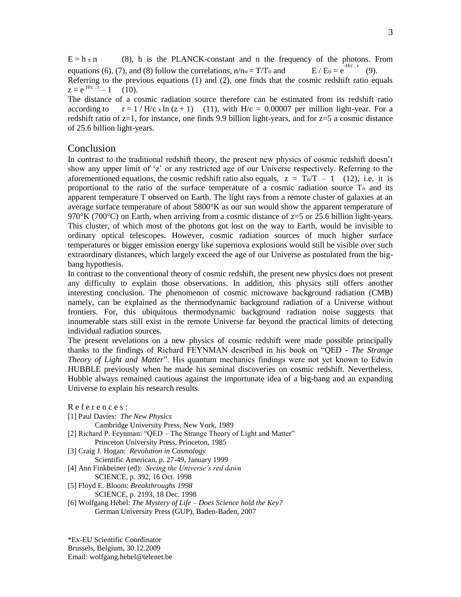$E = h \times n$  (8), h is the PLANCK-constant and n the frequency of the photons. From equations (6), (7), and (8) follow the correlations,  $n/n_0 = T/T_0$  and  $E / E_0 = e^{F_{H/c} + F_{C} + F}$ (9). Referring to the previous equations (1) and (2), one finds that the cosmic redshift ratio equals  $z = e^{-H/c \cdot r} - 1$  (10).

The distance of a cosmic radiation source therefore can be estimated from its redshift ratio according to  $r = 1 / H/c$  x ln  $(z + 1)$  (11), with  $H/c = 0.00007$  per million light-year. For a redshift ratio of z=1, for instance, one finds 9.9 billion light-years, and for z=5 a cosmic distance of 25.6 billion light-years.

#### Conclusion

In contrast to the traditional redshift theory, the present new physics of cosmic redshift doesn"t show any upper limit of 'z' or any restricted age of our Universe respectively. Referring to the aforementioned equations, the cosmic redshift ratio also equals,  $z = T_0/T - 1$  (12), i.e. it is proportional to the ratio of the surface temperature of a cosmic radiation source To and its apparent temperature T observed on Earth. The light rays from a remote cluster of galaxies at an average surface temperature of about 5800°K as our sun would show the apparent temperature of  $970^{\circ}$ K (700 $^{\circ}$ C) on Earth, when arriving from a cosmic distance of z=5 or 25.6 billion light-years. This cluster, of which most of the photons got lost on the way to Earth, would be invisible to ordinary optical telescopes. However, cosmic radiation sources of much higher surface temperatures or bigger emission energy like supernova explosions would still be visible over such extraordinary distances, which largely exceed the age of our Universe as postulated from the bigbang hypothesis.

In contrast to the conventional theory of cosmic redshift, the present new physics does not present any difficulty to explain those observations. In addition, this physics still offers another interesting conclusion. The phenomenon of cosmic microwave background radiation (CMB) namely, can be explained as the thermodynamic background radiation of a Universe without frontiers. For, this ubiquitous thermodynamic background radiation noise suggests that innumerable stars still exist in the remote Universe far beyond the practical limits of detecting individual radiation sources.

The present revelations on a new physics of cosmic redshift were made possible principally thanks to the findings of Richard FEYNMAN described in his book on "QED - *The Strange Theory of Light and Matter*". His quantum mechanics findings were not yet known to Edwin HUBBLE previously when he made his seminal discoveries on cosmic redshift. Nevertheless, Hubble always remained cautious against the importunate idea of a big-bang and an expanding Universe to explain his research results.

References:

[1] Paul Davies: *The New Physics*

Cambridge University Press, New York, 1989

[2] Richard P. Feynman: "OED – The Strange Theory of Light and Matter"

Princeton University Press, Princeton, 1985

- [3] Craig J. Hogan: *Revolution in Cosmology* Scientific American, p. 27-49, January 1999
- [4] Ann Finkbeiner (ed): *Seeing the Universe's red dawn*
	- SCIENCE, p. 392, 16 Oct. 1998
- [5] Floyd E. Bloom: *Breakthroughs 1998*
- SCIENCE, p. 2193, 18 Dec. 1998
- [6] Wolfgang Hebel: *The Mystery of Life – Does Science hold the Key?* German University Press (GUP), Baden-Baden, 2007

\*Ex-EU Scientific Coordinator

Brussels, Belgium, 30.12.2009

Email: wolfgang.hebel@telenet.be